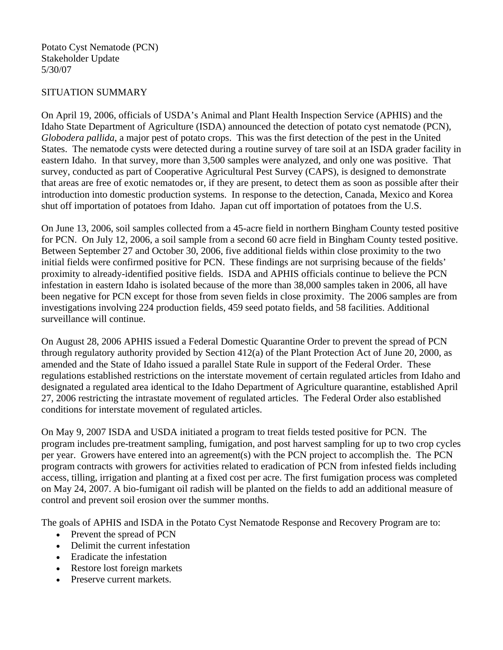## SITUATION SUMMARY

On April 19, 2006, officials of USDA's Animal and Plant Health Inspection Service (APHIS) and the Idaho State Department of Agriculture (ISDA) announced the detection of potato cyst nematode (PCN), *Globodera pallida*, a major pest of potato crops. This was the first detection of the pest in the United States. The nematode cysts were detected during a routine survey of tare soil at an ISDA grader facility in eastern Idaho. In that survey, more than 3,500 samples were analyzed, and only one was positive. That survey, conducted as part of Cooperative Agricultural Pest Survey (CAPS), is designed to demonstrate that areas are free of exotic nematodes or, if they are present, to detect them as soon as possible after their introduction into domestic production systems. In response to the detection, Canada, Mexico and Korea shut off importation of potatoes from Idaho. Japan cut off importation of potatoes from the U.S.

On June 13, 2006, soil samples collected from a 45-acre field in northern Bingham County tested positive for PCN. On July 12, 2006, a soil sample from a second 60 acre field in Bingham County tested positive. Between September 27 and October 30, 2006, five additional fields within close proximity to the two initial fields were confirmed positive for PCN. These findings are not surprising because of the fields' proximity to already-identified positive fields. ISDA and APHIS officials continue to believe the PCN infestation in eastern Idaho is isolated because of the more than 38,000 samples taken in 2006, all have been negative for PCN except for those from seven fields in close proximity. The 2006 samples are from investigations involving 224 production fields, 459 seed potato fields, and 58 facilities. Additional surveillance will continue.

On August 28, 2006 APHIS issued a Federal Domestic Quarantine Order to prevent the spread of PCN through regulatory authority provided by Section 412(a) of the Plant Protection Act of June 20, 2000, as amended and the State of Idaho issued a parallel State Rule in support of the Federal Order. These regulations established restrictions on the interstate movement of certain regulated articles from Idaho and designated a regulated area identical to the Idaho Department of Agriculture quarantine, established April 27, 2006 restricting the intrastate movement of regulated articles. The Federal Order also established conditions for interstate movement of regulated articles.

On May 9, 2007 ISDA and USDA initiated a program to treat fields tested positive for PCN. The program includes pre-treatment sampling, fumigation, and post harvest sampling for up to two crop cycles per year. Growers have entered into an agreement(s) with the PCN project to accomplish the. The PCN program contracts with growers for activities related to eradication of PCN from infested fields including access, tilling, irrigation and planting at a fixed cost per acre. The first fumigation process was completed on May 24, 2007. A bio-fumigant oil radish will be planted on the fields to add an additional measure of control and prevent soil erosion over the summer months.

The goals of APHIS and ISDA in the Potato Cyst Nematode Response and Recovery Program are to:

- Prevent the spread of PCN
- Delimit the current infestation
- Eradicate the infestation
- Restore lost foreign markets
- Preserve current markets.